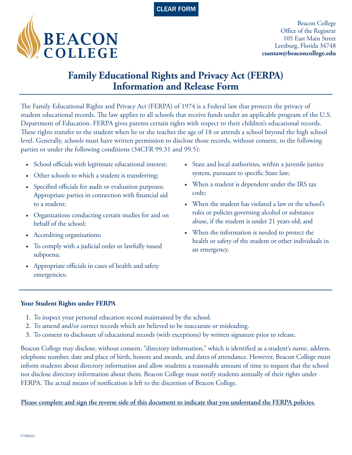



Beacon College Office of the Registrar 105 East Main Street Leesburg, Florida 34748 **csantaw@beaconcollege.edu**

## **Family Educational Rights and Privacy Act (FERPA) Information and Release Form**

The Family Educational Rights and Privacy Act (FERPA) of 1974 is a Federal law that protects the privacy of student educational records. The law applies to all schools that receive funds under an applicable program of the U.S. Department of Education. FERPA gives parents certain rights with respect to their children's educational records. These rights transfer to the student when he or she reaches the age of 18 or attends a school beyond the high school level. Generally, schools must have written permission to disclose those records, without consent, to the following parties or under the following conditions (34CFR 99.31 and 99.5):

- School officials with legitimate educational interest;
- Other schools to which a student is transferring;
- Specified officials for audit or evaluation purposes; Appropriate parties in connection with financial aid to a student;
- Organizations conducting certain studies for and on behalf of the school;
- Accrediting organizations;
- To comply with a judicial order or lawfully issued subpoena;
- Appropriate officials in cases of health and safety emergencies;
- State and local authorities, within a juvenile justice system, pursuant to specific State law;
- When a student is dependent under the IRS tax code;
- When the student has violated a law or the school's rules or policies governing alcohol or substance abuse, if the student is under 21 years old; and
- When the information is needed to protect the health or safety of the student or other individuals in an emergency.

## **Your Student Rights under FERPA**

- 1. To inspect your personal education record maintained by the school.
- 2. To amend and/or correct records which are believed to be inaccurate or misleading.
- 3. To consent to disclosure of educational records (with exceptions) by written signature prior to release.

Beacon College may disclose, without consent, "directory information," which is identified as a student's name, address, telephone number, date and place of birth, honors and awards, and dates of attendance. However, Beacon College must inform students about directory information and allow students a reasonable amount of time to request that the school not disclose directory information about them. Beacon College must notify students annually of their rights under FERPA. The actual means of notification is left to the discretion of Beacon College.

**Please complete and sign the reverse side of this document to indicate that you understand the FERPA policies.**